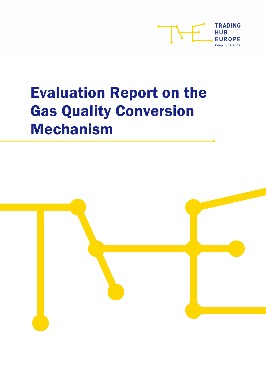

# Evaluation Report on the Gas Quality Conversion Mechanism

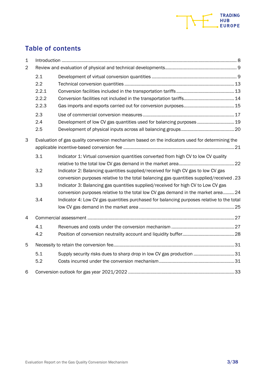

## Table of contents

| $\mathbf 1$    |                                                                                                 |                                                                                           |  |  |
|----------------|-------------------------------------------------------------------------------------------------|-------------------------------------------------------------------------------------------|--|--|
| $\overline{2}$ |                                                                                                 |                                                                                           |  |  |
|                | 2.1                                                                                             |                                                                                           |  |  |
|                | 2.2                                                                                             |                                                                                           |  |  |
|                | 2.2.1                                                                                           |                                                                                           |  |  |
|                | 2.2.2                                                                                           |                                                                                           |  |  |
|                | 2.2.3                                                                                           |                                                                                           |  |  |
|                | 2.3                                                                                             |                                                                                           |  |  |
|                | 2.4                                                                                             | Development of low CV gas quantities used for balancing purposes  19                      |  |  |
|                | 2.5                                                                                             |                                                                                           |  |  |
| 3              | Evaluation of gas quality conversion mechanism based on the indicators used for determining the |                                                                                           |  |  |
|                |                                                                                                 |                                                                                           |  |  |
|                | 3.1                                                                                             | Indicator 1: Virtual conversion quantities converted from high CV to low CV quality       |  |  |
|                |                                                                                                 |                                                                                           |  |  |
|                | 3.2                                                                                             | Indicator 2: Balancing quantities supplied/received for high CV gas to low CV gas         |  |  |
|                |                                                                                                 | conversion purposes relative to the total balancing gas quantities supplied/received .23  |  |  |
|                | 3.3                                                                                             | Indicator 3: Balancing gas quantities supplied/received for high CV to Low CV gas         |  |  |
|                |                                                                                                 | conversion purposes relative to the total low CV gas demand in the market area 24         |  |  |
|                | 3.4                                                                                             | Indicator 4: Low CV gas quantities purchased for balancing purposes relative to the total |  |  |
|                |                                                                                                 |                                                                                           |  |  |
| 4              |                                                                                                 |                                                                                           |  |  |
|                | 4.1                                                                                             |                                                                                           |  |  |
|                | 4.2                                                                                             |                                                                                           |  |  |
| 5              |                                                                                                 |                                                                                           |  |  |
|                | 5.1                                                                                             | Supply security risks dues to sharp drop in low CV gas production 31                      |  |  |
|                | 5.2                                                                                             |                                                                                           |  |  |
| 6              |                                                                                                 |                                                                                           |  |  |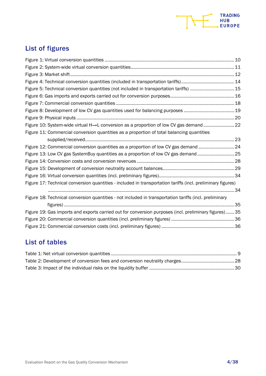

# List of figures

| Figure 5: Technical conversion quantities (not included in transportation tariffs) 15                       |  |
|-------------------------------------------------------------------------------------------------------------|--|
|                                                                                                             |  |
|                                                                                                             |  |
|                                                                                                             |  |
|                                                                                                             |  |
| Figure 10: System-wide virtual H→L conversion as a proportion of low CV gas demand22                        |  |
| Figure 11: Commercial conversion quantities as a proportion of total balancing quantities                   |  |
|                                                                                                             |  |
| Figure 12: Commercial conversion quantities as a proportion of low CV gas demand 24                         |  |
| Figure 13: Low CV gas SystemBuy quantities as a proportion of low CV gas demand25                           |  |
|                                                                                                             |  |
|                                                                                                             |  |
|                                                                                                             |  |
| Figure 17: Technical conversion quantities - included in transportation tariffs (incl. preliminary figures) |  |
|                                                                                                             |  |
| Figure 18: Technical conversion quantities - not included in transportation tariffs (incl. preliminary      |  |
|                                                                                                             |  |
| Figure 19: Gas imports and exports carried out for conversion purposes (incl. preliminary figures)35        |  |
|                                                                                                             |  |
|                                                                                                             |  |

## List of tables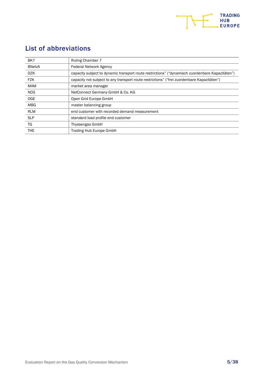

## List of abbreviations

| BK7           | <b>Ruling Chamber 7</b>                                                                         |
|---------------|-------------------------------------------------------------------------------------------------|
| <b>BNetzA</b> | <b>Federal Network Agency</b>                                                                   |
| <b>DZK</b>    | capacity subject to dynamic transport route restrictions" ("dynamisch zuordenbare Kapazitäten") |
| <b>FZK</b>    | capacity not subject to any transport route restrictions" ("frei zuordenbare Kapazitäten")      |
| <b>MAM</b>    | market area manager                                                                             |
| <b>NCG</b>    | NetConnect Germany GmbH & Co. KG                                                                |
| <b>OGE</b>    | Open Grid Europe GmbH                                                                           |
| <b>MBG</b>    | master balancing group                                                                          |
| <b>RLM</b>    | end customer with recorded demand measurement                                                   |
| <b>SLP</b>    | standard load profile end customer                                                              |
| TG            | Thyssengas GmbH                                                                                 |
| <b>THE</b>    | <b>Trading Hub Europe GmbH</b>                                                                  |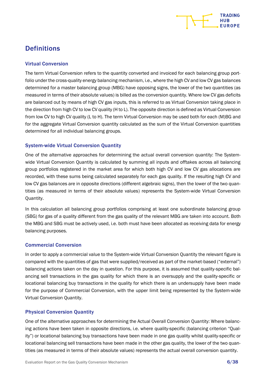

## **Definitions**

#### Virtual Conversion

The term Virtual Conversion refers to the quantity converted and invoiced for each balancing group portfolio under the cross-quality energy balancing mechanism, i.e., where the high CV and low CV gas balances determined for a master balancing group (MBG) have opposing signs, the lower of the two quantities (as measured in terms of their absolute values) is billed as the conversion quantity. Where low CV gas deficits are balanced out by means of high CV gas inputs, this is referred to as Virtual Conversion taking place in the direction from high CV to low CV quality (H to L). The opposite direction is defined as Virtual Conversion from low CV to high CV quality (L to H). The term Virtual Conversion may be used both for each (M)BG and for the aggregate Virtual Conversion quantity calculated as the sum of the Virtual Conversion quantities determined for all individual balancing groups.

#### System-wide Virtual Conversion Quantity

One of the alternative approaches for determining the actual overall conversion quantity: The Systemwide Virtual Conversion Quantity is calculated by summing all inputs and offtakes across all balancing group portfolios registered in the market area for which both high CV and low CV gas allocations are recorded, with these sums being calculated separately for each gas quality. If the resulting high CV and low CV gas balances are in opposite directions (different algebraic signs), then the lower of the two quantities (as measured in terms of their absolute values) represents the System-wide Virtual Conversion Quantity.

In this calculation all balancing group portfolios comprising at least one subordinate balancing group (SBG) for gas of a quality different from the gas quality of the relevant MBG are taken into account. Both the MBG and SBG must be actively used, i.e. both must have been allocated as receiving data for energy balancing purposes.

#### Commercial Conversion

In order to apply a commercial value to the System-wide Virtual Conversion Quantity the relevant figure is compared with the quantities of gas that were supplied/received as part of the market-based ("external") balancing actions taken on the day in question. For this purpose, it is assumed that quality-specific balancing sell transactions in the gas quality for which there is an oversupply and the quality-specific or locational balancing buy transactions in the quality for which there is an undersupply have been made for the purpose of Commercial Conversion, with the upper limit being represented by the System-wide Virtual Conversion Quantity.

#### Physical Conversion Quantity

One of the alternative approaches for determining the Actual Overall Conversion Quantity: Where balancing actions have been taken in opposite directions, i.e. where quality-specific (balancing criterion "Quality") or locational balancing buy transactions have been made in one gas quality whilst quality-specific or locational balancing sell transactions have been made in the other gas quality, the lower of the two quantities (as measured in terms of their absolute values) represents the actual overall conversion quantity.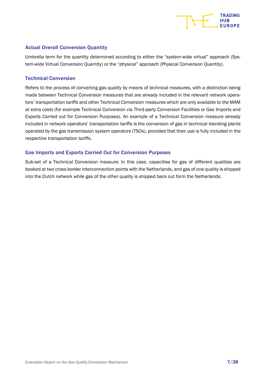

#### Actual Overall Conversion Quantity

Umbrella term for the quantity determined according to either the "system-wide virtual" approach (System-wide Virtual Conversion Quantity) or the "physical" approach (Physical Conversion Quantity).

#### Technical Conversion

Refers to the process of converting gas quality by means of technical measures, with a distinction being made between Technical Conversion measures that are already included in the relevant network operators' transportation tariffs and other Technical Conversion measures which are only available to the MAM at extra costs (for example Technical Conversion via Third-party Conversion Facilities or Gas Imports and Exports Carried out for Conversion Purposes). An example of a Technical Conversion measure already included in network operators' transportation tariffs is the conversion of gas in technical blending plants operated by the gas transmission system operators (TSOs), provided that their use is fully included in the respective transportation tariffs.

#### Gas Imports and Exports Carried Out for Conversion Purposes

Sub-set of a Technical Conversion measure; In this case, capacities for gas of different qualities are booked at two cross-border interconnection points with the Netherlands, and gas of one quality is shipped into the Dutch network while gas of the other quality is shipped back out form the Netherlands.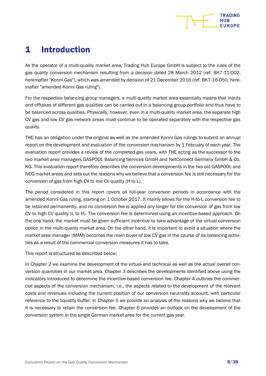

# <span id="page-7-0"></span>1 Introduction

As the operator of a multi-quality market area, Trading Hub Europe GmbH is subject to the rules of the gas quality conversion mechanism resulting from a decision dated 28 March 2012 (ref. BK7-11-002, hereinafter "Konni Gas"), which was amended by decision of 21 December 2016 (ref. BK7-16-050, hereinafter "amended Konni Gas ruling").

For the respective balancing group managers, a multi-quality market area essentially means that inputs and offtakes of different gas qualities can be carried out in a balancing group portfolio and thus have to be balanced across qualities. Physically, however, even in a multi-quality market area, the separate high CV gas and low CV gas network areas must continue to be operated separately with the respective gas quality.

THE has an obligation under the original as well as the amended Konni Gas rulings to submit an annual report on the development and evaluation of the conversion mechanism by 1 February of each year. The evaluation report provides a review of the completed gas years, with THE acting as the successor to the two market area managers GASPOOL Balancing Services GmbH and NetConnect Germany GmbH & Co. KG. This evaluation report therefore describes the conversion developments in the two old GASPOOL and NCG market areas and sets out the reasons why we believe that a conversion fee is still necessary for the conversion of gas from high CV to low CV quality (H to L).

The period considered in this report covers all full-year conversion periods in accordance with the amended Konni Gas ruling, starting on 1 October 2017. It mainly allows for the H-to-L conversion fee to be retained permanently, and no conversion fee is applied any longer for the conversion of gas from low CV to high CV quality (L to H). The conversion fee is determined using an incentive-based approach. On the one hand, the market must be given sufficient incentive to take advantage of the virtual conversion option in the multi-quality market area. On the other hand, it is important to avoid a situation where the market area manager (MAM) becomes the main buyer of low CV gas in the course of its balancing activities as a result of the commercial conversion measures it has to take.

This report is structured as described below:

In Chapter [2](#page-8-0) we examine the development of the virtual and technical as well as the actual overall conversion quantities in our market area. Chapter [3](#page-20-0) describes the developments identified above using the indicators introduced to determine the incentive-based conversion fee. Chapter [4](#page-26-0) outlines the commercial aspects of the conversion mechanism, i.e., the aspects related to the development of the relevant costs and revenues including the current position of our conversion neutrality account, with particular reference to the liquidity buffer. In Chapter [5](#page-30-0) we provide an analysis of the reasons why we believe that it is necessary to retain the conversion fee. Chapter [6](#page-32-0) provides an outlook on the development of the conversion system in the single German market area for the current gas year.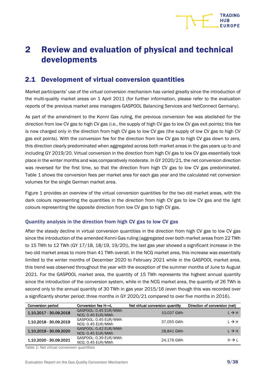# <span id="page-8-0"></span>2 Review and evaluation of physical and technical developments

## <span id="page-8-1"></span>2.1 Development of virtual conversion quantities

Market participants' use of the virtual conversion mechanism has varied greatly since the introduction of the multi-quality market areas on 1 April 2011 (for further information, please refer to the evaluation reports of the previous market area managers GASPOOL Balancing Services and NetConnect Germany).

As part of the amendment to the Konni Gas ruling, the previous conversion fee was abolished for the direction from low CV gas to high CV gas (i.e., the supply of high CV gas to low CV gas exit points); this fee is now charged only in the direction from high CV gas to low CV gas (the supply of low CV gas to high CV gas exit points). With the conversion fee for the direction from low CV gas to high CV gas down to zero, this direction clearly predominated when aggregated across both market areas in the gas years up to and including GY 2019/20. Virtual conversion in the direction from high CV gas to low CV gas essentially took place in the winter months and was comparatively moderate. In GY 2020/21, the net conversion direction was reversed for the first time, so that the direction from high CV gas to low CV gas predominated. [Table 1](#page-8-2) shows the conversion fees per market area for each gas year and the calculated net conversion volumes for the single German market area.

[Figure](#page-9-0) 1 provides an overview of the virtual conversion quantities for the two old market areas, with the dark colours representing the quantities in the direction from high CV gas to low CV gas and the light colours representing the opposite direction from low CV gas to high CV gas.

#### Quantity analysis in the direction from high CV gas to low CV gas

After the steady decline in virtual conversion quantities in the direction from high CV gas to low CV gas since the introduction of the amended Konni Gas ruling (aggregated over both market areas from 22 TWh to 15 TWh to 12 TWh (GY 17/18, 18/19, 19/20)), the last gas year showed a significant increase in the two old market areas to more than 41 TWh overall. In the NCG market area, this increase was essentially limited to the winter months of December 2020 to February 2021 while in the GASPOOL market area, this trend was observed throughout the year with the exception of the summer months of June to August 2021. For the GASPOOL market area, the quantity of 15 TWh represents the highest annual quantity since the introduction of the conversion system, while in the NCG market area, the quantity of 26 TWh is second only to the annual quantity of 30 TWh in gas year 2015/16 (even though this was recorded over a significantly shorter period: three months in GY 2020/21 compared to over five months in 2016).

| <b>Conversion period</b> | Conversion fee $H\rightarrow L$            | Net virtual conversion quantity | Direction of conversion (net) |
|--------------------------|--------------------------------------------|---------------------------------|-------------------------------|
| 1.10.2017 - 30.09.2018   | GASPOOL: 0.45 EUR/MWh<br>NCG: 0.45 EUR/MWh | 10,037 GWh                      | $L \rightarrow H$             |
| 1.10.2018 - 30.09.2019   | GASPOOL: 0.45 EUR/MWh<br>NCG: 0.45 EUR/MWh | 37.055 GWh                      | $L \rightarrow H$             |
| 1.10.2019 - 30.09.2020   | GASPOOL: 0,42 EUR/MWh<br>NCG: 0.45 EUR/MWh | 28.841 GWh                      | $L \rightarrow H$             |
| 1.10.2020 - 30.09.2021   | GASPOOL: 0.39 EUR/MWh<br>NCG: 0.45 EUR/MWh | 24.176 GWh                      | $H \rightarrow L$             |

<span id="page-8-2"></span>Table 1: Net virtual conversion quantities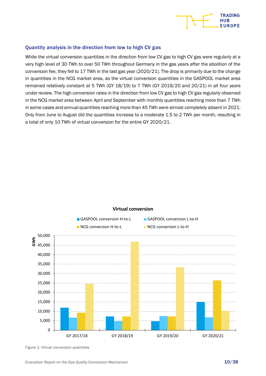

#### Quantity analysis in the direction from low to high CV gas

While the virtual conversion quantities in the direction from low CV gas to high CV gas were regularly at a very high level of 30 TWh to over 50 TWh throughout Germany in the gas years after the abolition of the conversion fee, they fell to 17 TWh in the last gas year (2020/21). The drop is primarily due to the change in quantities in the NCG market area, as the virtual conversion quantities in the GASPOOL market area remained relatively constant at 5 TWh (GY 18/19) to 7 TWh (GY 2019/20 and 20/21) in all four years under review. The high conversion rates in the direction from low CV gas to high CV gas regularly observed in the NCG market area between April and September with monthly quantities reaching more than 7 TWh in some cases and annual quantities reaching more than 45 TWh were almost completely absent in 2021. Only from June to August did the quantities increase to a moderate 1.5 to 2 TWh per month, resulting in a total of only 10 TWh of virtual conversion for the entire GY 2020/21.



#### **Virtual conversion**

<span id="page-9-0"></span>Figure 1: Virtual conversion quantities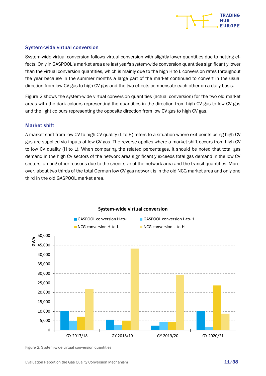

#### System-wide virtual conversion

System-wide virtual conversion follows virtual conversion with slightly lower quantities due to netting effects. Only in GASPOOL's market area are last year's system-wide conversion quantities significantly lower than the virtual conversion quantities, which is mainly due to the high H to L conversion rates throughout the year because in the summer months a large part of the market continued to convert in the usual direction from low CV gas to high CV gas and the two effects compensate each other on a daily basis.

[Figure](#page-10-0) 2 shows the system-wide virtual conversion quantities (actual conversion) for the two old market areas with the dark colours representing the quantities in the direction from high CV gas to low CV gas and the light colours representing the opposite direction from low CV gas to high CV gas.

#### Market shift

A market shift from low CV to high CV quality (L to H) refers to a situation where exit points using high CV gas are supplied via inputs of low CV gas. The reverse applies where a market shift occurs from high CV to low CV quality (H to L). When comparing the related percentages, it should be noted that total gas demand in the high CV sectors of the network area significantly exceeds total gas demand in the low CV sectors, among other reasons due to the sheer size of the network area and the transit quantities. Moreover, about two thirds of the total German low CV gas network is in the old NCG market area and only one third in the old GASPOOL market area.



#### **System-wide virtual conversion**

<span id="page-10-0"></span>Figure 2: System-wide virtual conversion quantities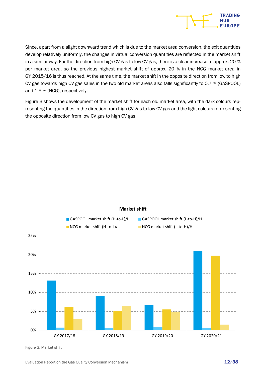

Since, apart from a slight downward trend which is due to the market area conversion, the exit quantities develop relatively uniformly, the changes in virtual conversion quantities are reflected in the market shift in a similar way. For the direction from high CV gas to low CV gas, there is a clear increase to approx. 20 % per market area, so the previous highest market shift of approx. 20 % in the NCG market area in GY 2015/16 is thus reached. At the same time, the market shift in the opposite direction from low to high CV gas towards high CV gas sales in the two old market areas also falls significantly to 0.7 % (GASPOOL) and 1.5 % (NCG), respectively.

[Figure](#page-11-0) 3 shows the development of the market shift for each old market area, with the dark colours representing the quantities in the direction from high CV gas to low CV gas and the light colours representing the opposite direction from low CV gas to high CV gas.



#### **Market shift**

<span id="page-11-0"></span>Figure 3: Market shift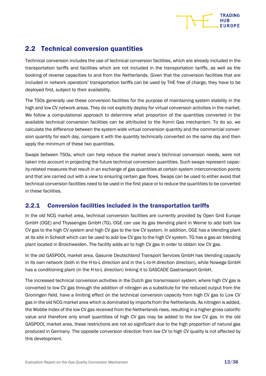

## <span id="page-12-0"></span>2.2 Technical conversion quantities

Technical conversion includes the use of technical conversion facilities, which are already included in the transportation tariffs and facilities which are not included in the transportation tariffs, as well as the booking of reverse capacities to and from the Netherlands. Given that the conversion facilities that are included in network operators' transportation tariffs can be used by THE free of charge, they have to be deployed first, subject to their availability.

The TSOs generally use these conversion facilities for the purpose of maintaining system stability in the high and low CV network areas. They do not explicitly deploy for virtual conversion activities in the market. We follow a computational approach to determine what proportion of the quantities converted in the available technical conversion facilities can be attributed to the Konni Gas mechanism. To do so, we calculate the difference between the system-wide virtual conversion quantity and the commercial conversion quantity for each day, compare it with the quantity technically converted on the same day and then apply the minimum of these two quantities.

Swaps between TSOs, which can help reduce the market area's technical conversion needs, were not taken into account in projecting the future technical conversion quantities. Such swaps represent capacity-related measures that result in an exchange of gas quantities at certain system interconnection points and that are carried out with a view to ensuring certain gas flows. Swaps can be used to either avoid that technical conversion facilities need to be used in the first place or to reduce the quantities to be converted in these facilities.

### <span id="page-12-1"></span>2.2.1 Conversion facilities included in the transportation tariffs

In the old NCG market area, technical conversion facilities are currently provided by Open Grid Europe GmbH (OGE) and Thyssengas GmbH (TG). OGE can use its gas blending plant in Werne to add both low CV gas to the high CV system and high CV gas to the low CV system. In addition, OGE has a blending plant at its site in Scheidt which can be used to add low CV gas to the high CV system. TG has a gas-air blending plant located in Broichweiden. The facility adds air to high CV gas in order to obtain low CV gas.

In the old GASPOOL market area, Gasunie Deutschland Transport Services GmbH has blending capacity in its own network (both in the H-to-L direction and in the L-to-H direction direction), while Nowega GmbH has a conditioning plant (in the H-to-L direction) linking it to GASCADE Gastransport GmbH.

The increased technical conversion activities in the Dutch gas transmission system, where high CV gas is converted to low CV gas through the addition of nitrogen as a substitute for the reduced output from the Groningen field, have a limiting effect on the technical conversion capacity from high CV gas to Low CV gas in the old NCG market area which is dominated by imports from the Netherlands. As nitrogen is added, the Wobbe Index of the low CV gas received from the Netherlands rises, resulting in a higher gross calorific value and therefore only small quantities of high CV gas may be added to the low CV gas. In the old GASPOOL market area, these restrictions are not so significant due to the high proportion of natural gas produced in Germany. The opposite conversion direction from low CV to high CV quality is not affected by this development.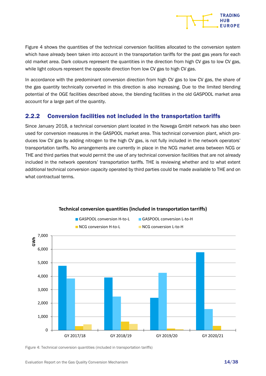

[Figure](#page-13-1) 4 shows the quantities of the technical conversion facilities allocated to the conversion system which have already been taken into account in the transportation tariffs for the past gas years for each old market area. Dark colours represent the quantities in the direction from high CV gas to low CV gas, while light colours represent the opposite direction from low CV gas to high CV gas.

In accordance with the predominant conversion direction from high CV gas to low CV gas, the share of the gas quantity technically converted in this direction is also increasing. Due to the limited blending potential of the OGE facilities described above, the blending facilities in the old GASPOOL market area account for a large part of the quantity.

#### <span id="page-13-0"></span>2.2.2 Conversion facilities not included in the transportation tariffs

Since January 2018, a technical conversion plant located in the Nowega GmbH network has also been used for conversion measures in the GASPOOL market area. This technical conversion plant, which produces low CV gas by adding nitrogen to the high CV gas, is not fully included in the network operators' transportation tariffs. No arrangements are currently in place in the NCG market area between NCG or THE and third parties that would permit the use of any technical conversion facilities that are not already included in the network operators' transportation tariffs. THE is reviewing whether and to what extent additional technical conversion capacity operated by third parties could be made available to THE and on what contractual terms.



#### **Technical conversion quantities (included in transportation tarriffs)**

<span id="page-13-1"></span>Figure 4: Technical conversion quantities (included in transportation tariffs)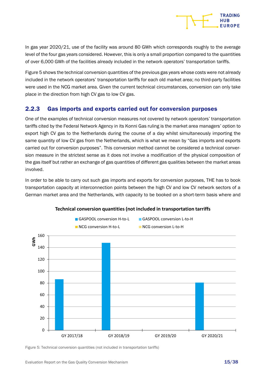

In gas year 2020/21, use of the facility was around 80 GWh which corresponds roughly to the average level of the four gas years considered. However, this is only a small proportion compared to the quantities of over 6,000 GWh of the facilities already included in the network operators' transportation tariffs.

[Figure](#page-14-1) 5 shows the technical conversion quantities of the previous gas years whose costs were not already included in the network operators' transportation tariffs for each old market area; no third-party facilities were used in the NCG market area. Given the current technical circumstances, conversion can only take place in the direction from high CV gas to low CV gas.

#### <span id="page-14-0"></span>2.2.3 Gas imports and exports carried out for conversion purposes

One of the examples of technical conversion measures not covered by network operators' transportation tariffs cited by the Federal Network Agency in its Konni Gas ruling is the market area managers' option to export high CV gas to the Netherlands during the course of a day whilst simultaneously importing the same quantity of low CV gas from the Netherlands, which is what we mean by "Gas imports and exports carried out for conversion purposes". This conversion method cannot be considered a technical conversion measure in the strictest sense as it does not involve a modification of the physical composition of the gas itself but rather an exchange of gas quantities of different gas qualities between the market areas involved.

In order to be able to carry out such gas imports and exports for conversion purposes, THE has to book transportation capacity at interconnection points between the high CV and low CV network sectors of a German market area and the Netherlands, with capacity to be booked on a short-term basis where and



#### **Technical conversion quantities (not included in transportation tarriffs**

<span id="page-14-1"></span>Figure 5: Technical conversion quantities (not included in transportation tariffs)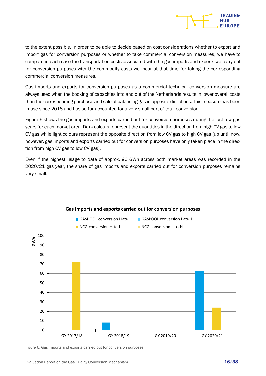

to the extent possible. In order to be able to decide based on cost considerations whether to export and import gas for conversion purposes or whether to take commercial conversion measures, we have to compare in each case the transportation costs associated with the gas imports and exports we carry out for conversion purposes with the commodity costs we incur at that time for taking the corresponding commercial conversion measures.

Gas imports and exports for conversion purposes as a commercial technical conversion measure are always used when the booking of capacities into and out of the Netherlands results in lower overall costs than the corresponding purchase and sale of balancing gas in opposite directions. This measure has been in use since 2018 and has so far accounted for a very small part of total conversion.

[Figure](#page-15-0) 6 shows the gas imports and exports carried out for conversion purposes during the last few gas years for each market area. Dark colours represent the quantities in the direction from high CV gas to low CV gas while light colours represent the opposite direction from low CV gas to high CV gas (up until now, however, gas imports and exports carried out for conversion purposes have only taken place in the direction from high CV gas to low CV gas).

Even if the highest usage to date of approx. 90 GWh across both market areas was recorded in the 2020/21 gas year, the share of gas imports and exports carried out for conversion purposes remains very small.



#### **Gas imports and exports carried out for conversion purposes**

<span id="page-15-0"></span>Figure 6: Gas imports and exports carried out for conversion purposes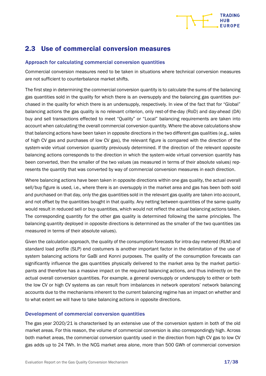

## <span id="page-16-0"></span>2.3 Use of commercial conversion measures

#### Approach for calculating commercial conversion quantities

Commercial conversion measures need to be taken in situations where technical conversion measures are not sufficient to counterbalance market shifts.

The first step in determining the commercial conversion quantity is to calculate the sums of the balancing gas quantities sold in the quality for which there is an oversupply and the balancing gas quantities purchased in the quality for which there is an undersupply, respectively. In view of the fact that for "Global" balancing actions the gas quality is no relevant criterion, only rest-of-the-day (RoD) and day-ahead (DA) buy and sell transactions effected to meet "Quality" or "Local" balancing requirements are taken into account when calculating the overall commercial conversion quantity. Where the above calculations show that balancing actions have been taken in opposite directions in the two different gas qualities (e.g., sales of high CV gas and purchases of low CV gas), the relevant figure is compared with the direction of the system-wide virtual conversion quantity previously determined. If the direction of the relevant opposite balancing actions corresponds to the direction in which the system-wide virtual conversion quantity has been converted, then the smaller of the two values (as measured in terms of their absolute values) represents the quantity that was converted by way of commercial conversion measures in each direction.

Where balancing actions have been taken in opposite directions within one gas quality, the actual overall sell/buy figure is used, i.e., where there is an oversupply in the market area and gas has been both sold and purchased on that day, only the gas quantities sold in the relevant gas quality are taken into account, and not offset by the quantities bought in that quality. Any netting between quantities of the same quality would result in reduced sell or buy quantities, which would not reflect the actual balancing actions taken. The corresponding quantity for the other gas quality is determined following the same principles. The balancing quantity deployed in opposite directions is determined as the smaller of the two quantities (as measured in terms of their absolute values).

Given the calculation approach, the quality of the consumption forecasts for intra-day metered (RLM) and standard load profile (SLP) end costumers is another important factor in the delimitation of the use of system balancing actions for GaBi and Konni purposes. The quality of the consumption forecasts can significantly influence the gas quantities physically delivered to the market area by the market participants and therefore has a massive impact on the required balancing actions, and thus indirectly on the actual overall conversion quantities. For example, a general oversupply or undersupply to either or both the low CV or high CV systems as can result from imbalances in network operators' network balancing accounts due to the mechanisms inherent to the current balancing regime has an impact on whether and to what extent we will have to take balancing actions in opposite directions.

#### Development of commercial conversion quantities

The gas year 2020/21 is characterised by an extensive use of the conversion system in both of the old market areas. For this reason, the volume of commercial conversion is also correspondingly high. Across both market areas, the commercial conversion quantity used in the direction from high CV gas to low CV gas adds up to 24 TWh. In the NCG market area alone, more than 500 GWh of commercial conversion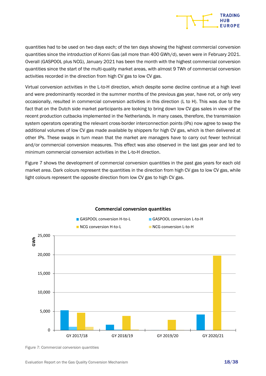

quantities had to be used on two days each; of the ten days showing the highest commercial conversion quantities since the introduction of Konni Gas (all more than 400 GWh/d), seven were in February 2021. Overall (GASPOOL plus NCG), January 2021 has been the month with the highest commercial conversion quantities since the start of the multi-quality market areas, with almost 9 TWh of commercial conversion activities recorded in the direction from high CV gas to low CV gas.

Virtual conversion activities in the L-to-H direction, which despite some decline continue at a high level and were predominantly recorded in the summer months of the previous gas year, have not, or only very occasionally, resulted in commercial conversion activities in this direction (L to H). This was due to the fact that on the Dutch side market participants are looking to bring down low CV gas sales in view of the recent production cutbacks implemented in the Netherlands. In many cases, therefore, the transmission system operators operating the relevant cross-border interconnection points (IPs) now agree to swap the additional volumes of low CV gas made available by shippers for high CV gas, which is then delivered at other IPs. These swaps in turn mean that the market are managers have to carry out fewer technical and/or commercial conversion measures. This effect was also observed in the last gas year and led to minimum commercial conversion activities in the L-to-H direction.

[Figure](#page-17-0) 7 shows the development of commercial conversion quantities in the past gas years for each old market area. Dark colours represent the quantities in the direction from high CV gas to low CV gas, while light colours represent the opposite direction from low CV gas to high CV gas.



#### **Commercial conversion quantities**

<span id="page-17-0"></span>Figure 7: Commercial conversion quantities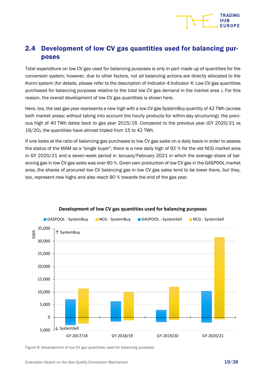

## <span id="page-18-0"></span>2.4 Development of low CV gas quantities used for balancing purposes

Total expenditure on low CV gas used for balancing purposes is only in part made up of quantities for the conversion system; however, due to other factors, not all balancing actions are directly allocated to the Konni system (for details, please refer to the description of Indicator 4: Indicator 4: Low CV gas quantities [purchased for balancing purposes relative to the total low CV gas demand in the market area \)](#page-24-0). For this reason, the overall development of low CV gas quantities is shown here.

Here, too, the last gas year represents a new high with a low CV gas SystemBuy quantity of 42 TWh (across both market areas; without taking into account the hourly products for within-day structuring); the previous high of 40 TWh dates back to gas year 2015/16. Compared to the previous year (GY 2020/21 vs 19/20), the quantities have almost tripled from 15 to 42 TWh.

If one looks at the ratio of balancing gas purchases to low CV gas sales on a daily basis in order to assess the status of the MAM as a "single buyer", there is a new daily high of 92 % for the old NCG market area in GY 2020/21 and a seven-week period in January/February 2021 in which the average share of balancing gas in low CV gas sales was over 60 %. Given own production of low CV gas in the GASPOOL market area, the shares of procured low CV balancing gas in low CV gas sales tend to be lower there, but they, too, represent new highs and also reach 90 % towards the end of the gas year.



#### **Development of low CV gas quantities used for balancing purposes**

<span id="page-18-1"></span>Figure 8: Development of low CV gas quantities used for balancing purposes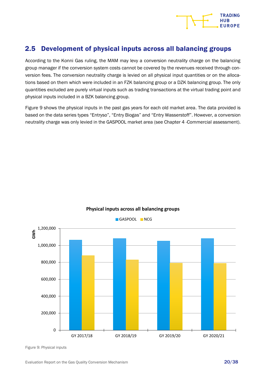

## <span id="page-19-0"></span>2.5 Development of physical inputs across all balancing groups

According to the Konni Gas ruling, the MAM may levy a conversion neutrality charge on the balancing group manager if the conversion system costs cannot be covered by the revenues received through conversion fees. The conversion neutrality charge is levied on all physical input quantities or on the allocations based on them which were included in an FZK balancing group or a DZK balancing group. The only quantities excluded are purely virtual inputs such as trading transactions at the virtual trading point and physical inputs included in a BZK balancing group.

[Figure](#page-19-1) 9 shows the physical inputs in the past gas years for each old market area. The data provided is based on the data series types "Entryso", "Entry Biogas" and "Entry Wasserstoff". However, a conversion neutrality charge was only levied in the GASPOOL market area (see Chapter [4](#page-26-0) -Commercial [assessment\)](#page-26-0).



#### **Physical inputs across all balancing groups**

<span id="page-19-1"></span>Figure 9: Physical inputs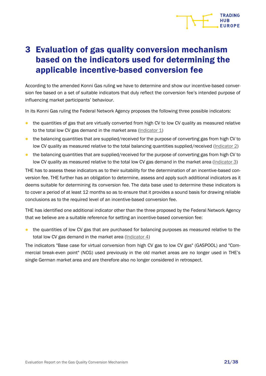# **HUR**

# <span id="page-20-0"></span>3 Evaluation of gas quality conversion mechanism based on the indicators used for determining the applicable incentive-based conversion fee

According to the amended Konni Gas ruling we have to determine and show our incentive-based conversion fee based on a set of suitable indicators that duly reflect the conversion fee's intended purpose of influencing market participants' behaviour.

In its Konni Gas ruling the Federal Network Agency proposes the following three possible indicators:

- the quantities of gas that are virtually converted from high CV to low CV quality as measured relative to the total low CV gas demand in the market area (Indicator 1)
- the balancing quantities that are supplied/received for the purpose of converting gas from high CV to low CV quality as measured relative to the total balancing quantities supplied/received (Indicator 2)
- the balancing quantities that are supplied/received for the purpose of converting gas from high CV to low CV quality as measured relative to the total low CV gas demand in the market area (*Indicator 3*)

THE has to assess these indicators as to their suitability for the determination of an incentive-based conversion fee. THE further has an obligation to determine, assess and apply such additional indicators as it deems suitable for determining its conversion fee. The data base used to determine these indicators is to cover a period of at least 12 months so as to ensure that it provides a sound basis for drawing reliable conclusions as to the required level of an incentive-based conversion fee.

THE has identified one additional indicator other than the three proposed by the Federal Network Agency that we believe are a suitable reference for setting an incentive-based conversion fee:

• the quantities of low CV gas that are purchased for balancing purposes as measured relative to the total low CV gas demand in the market area (Indicator 4)

The indicators "Base case for virtual conversion from high CV gas to low CV gas" (GASPOOL) and "Commercial break-even point" (NCG) used previously in the old market areas are no longer used in THE's single German market area and are therefore also no longer considered in retrospect.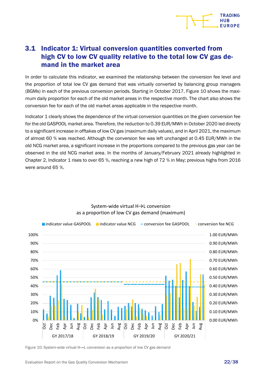

## <span id="page-21-0"></span>3.1 Indicator 1: Virtual conversion quantities converted from high CV to low CV quality relative to the total low CV gas demand in the market area

In order to calculate this indicator, we examined the relationship between the conversion fee level and the proportion of total low CV gas demand that was virtually converted by balancing group managers (BGMs) in each of the previous conversion periods. Starting in October 2017, [Figure](#page-21-1) 10 shows the maximum daily proportion for each of the old market areas in the respective month. The chart also shows the conversion fee for each of the old market areas applicable in the respective month.

Indicator 1 clearly shows the dependence of the virtual conversion quantities on the given conversion fee for the old GASPOOL market area. Therefore, the reduction to 0.39 EUR/MWh in October 2020 led directly to a significant increase in offtakes of low CV gas (maximum daily values), and in April 2021, the maximum of almost 60 % was reached. Although the conversion fee was left unchanged at 0.45 EUR/MWh in the old NCG market area, a significant increase in the proportions compared to the previous gas year can be observed in the old NCG market area. In the months of January/February 2021 already highlighted in Chapter [2,](#page-8-0) Indicator 1 rises to over 65 %, reaching a new high of 72 % in May; previous highs from 2016 were around 65 %.



#### System-wide virtual H→L conversion as a proportion of low CV gas demand (maximum)

<span id="page-21-1"></span>Figure 10: System-wide virtual H→L conversion as a proportion of low CV gas demand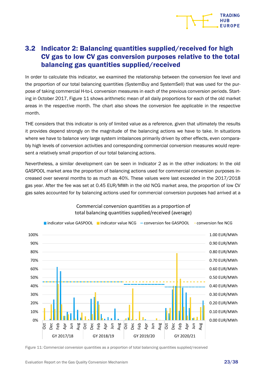

## <span id="page-22-0"></span>3.2 Indicator 2: Balancing quantities supplied/received for high CV gas to low CV gas conversion purposes relative to the total balancing gas quantities supplied/received

In order to calculate this indicator, we examined the relationship between the conversion fee level and the proportion of our total balancing quantities (SystemBuy and SystemSell) that was used for the purpose of taking commercial H-to-L conversion measures in each of the previous conversion periods. Starting in October 2017, [Figure](#page-22-1) 11 shows arithmetic mean of all daily proportions for each of the old market areas in the respective month. The chart also shows the conversion fee applicable in the respective month.

THE considers that this indicator is only of limited value as a reference, given that ultimately the results it provides depend strongly on the magnitude of the balancing actions we have to take. In situations where we have to balance very large system imbalances primarily driven by other effects, even comparably high levels of conversion activities and corresponding commercial conversion measures would represent a relatively small proportion of our total balancing actions.

Nevertheless, a similar development can be seen in Indicator 2 as in the other indicators: In the old GASPOOL market area the proportion of balancing actions used for commercial conversion purposes increased over several months to as much as 40%. These values were last exceeded in the 2017/2018 gas year. After the fee was set at 0.45 EUR/MWh in the old NCG market area, the proportion of low CV gas sales accounted for by balancing actions used for commercial conversion purposes had arrived at a



Commercial conversion quantities as a proportion of total balancing quantities supplied/received (average)

<span id="page-22-1"></span>Figure 11: Commercial conversion quantities as a proportion of total balancing quantities supplied/received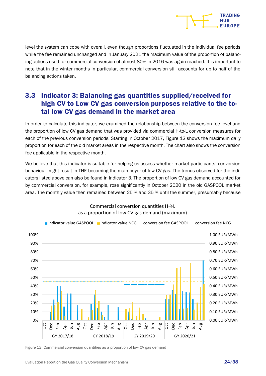

level the system can cope with overall, even though proportions fluctuated in the individual fee periods while the fee remained unchanged and in January 2021 the maximum value of the proportion of balancing actions used for commercial conversion of almost 80% in 2016 was again reached. It is important to note that in the winter months in particular, commercial conversion still accounts for up to half of the balancing actions taken.

## <span id="page-23-0"></span>3.3 Indicator 3: Balancing gas quantities supplied/received for high CV to Low CV gas conversion purposes relative to the total low CV gas demand in the market area

In order to calculate this indicator, we examined the relationship between the conversion fee level and the proportion of low CV gas demand that was provided via commercial H-to-L conversion measures for each of the previous conversion periods. Starting in October 2017, [Figure](#page-23-1) 12 shows the maximum daily proportion for each of the old market areas in the respective month. The chart also shows the conversion fee applicable in the respective month.

We believe that this indicator is suitable for helping us assess whether market participants' conversion behaviour might result in THE becoming the main buyer of low CV gas. The trends observed for the indicators listed above can also be found in Indicator 3. The proportion of low CV gas demand accounted for by commercial conversion, for example, rose significantly in October 2020 in the old GASPOOL market area. The monthly value then remained between 25 % and 35 % until the summer, presumably because



#### Commercial conversion quantities H→L as a proportion of low CV gas demand (maximum)

<span id="page-23-1"></span>Figure 12: Commercial conversion quantities as a proportion of low CV gas demand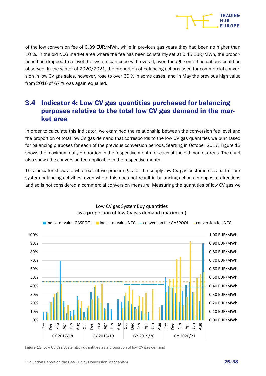

of the low conversion fee of 0.39 EUR/MWh, while in previous gas years they had been no higher than 10 %. In the old NCG market area where the fee has been constantly set at 0.45 EUR/MWh, the proportions had dropped to a level the system can cope with overall, even though some fluctuations could be observed. In the winter of 2020/2021, the proportion of balancing actions used for commercial conversion in low CV gas sales, however, rose to over 60 % in some cases, and in May the previous high value from 2016 of 67 % was again equalled.

## <span id="page-24-0"></span>3.4 Indicator 4: Low CV gas quantities purchased for balancing purposes relative to the total low CV gas demand in the market area

In order to calculate this indicator, we examined the relationship between the conversion fee level and the proportion of total low CV gas demand that corresponds to the low CV gas quantities we purchased for balancing purposes for each of the previous conversion periods. Starting in October 2017, [Figure](#page-24-1) 13 shows the maximum daily proportion in the respective month for each of the old market areas. The chart also shows the conversion fee applicable in the respective month.

This indicator shows to what extent we procure gas for the supply low CV gas customers as part of our system balancing activities, even where this does not result in balancing actions in opposite directions and so is not considered a commercial conversion measure. Measuring the quantities of low CV gas we



#### Low CV gas SystemBuy quantities as a proportion of low CV gas demand (maximum)

<span id="page-24-1"></span>Figure 13: Low CV gas SystemBuy quantities as a proportion of low CV gas demand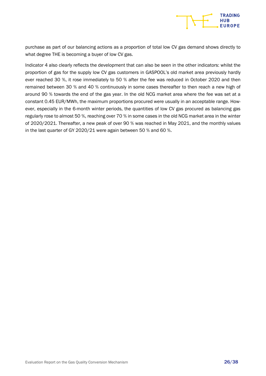

purchase as part of our balancing actions as a proportion of total low CV gas demand shows directly to what degree THE is becoming a buyer of low CV gas.

Indicator 4 also clearly reflects the development that can also be seen in the other indicators: whilst the proportion of gas for the supply low CV gas customers in GASPOOL's old market area previously hardly ever reached 30 %, it rose immediately to 50 % after the fee was reduced in October 2020 and then remained between 30 % and 40 % continuously in some cases thereafter to then reach a new high of around 90 % towards the end of the gas year. In the old NCG market area where the fee was set at a constant 0.45 EUR/MWh, the maximum proportions procured were usually in an acceptable range. However, especially in the 6-month winter periods, the quantities of low CV gas procured as balancing gas regularly rose to almost 50 %, reaching over 70 % in some cases in the old NCG market area in the winter of 2020/2021. Thereafter, a new peak of over 90 % was reached in May 2021, and the monthly values in the last quarter of GY 2020/21 were again between 50 % and 60 %.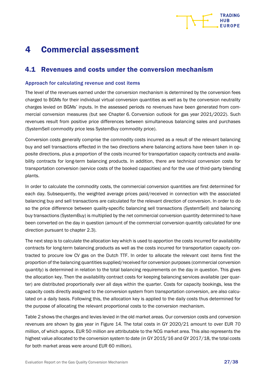## **TRADING HUR**

# <span id="page-26-0"></span>4 Commercial assessment

### <span id="page-26-1"></span>4.1 Revenues and costs under the conversion mechanism

#### Approach for calculating revenue and cost items

The level of the revenues earned under the conversion mechanism is determined by the conversion fees charged to BGMs for their individual virtual conversion quantities as well as by the conversion neutrality charges levied on BGMs' inputs. In the assessed periods no revenues have been generated from commercial conversion measures (but see Chapter [6.](#page-32-0) [Conversion outlook for gas year](#page-32-0) 2021/2022). Such revenues result from positive price differences between simultaneous balancing sales and purchases (SystemSell commodity price less SystemBuy commodity price).

Conversion costs generally comprise the commodity costs incurred as a result of the relevant balancing buy and sell transactions effected in the two directions where balancing actions have been taken in opposite directions, plus a proportion of the costs incurred for transportation capacity contracts and availability contracts for long-term balancing products. In addition, there are technical conversion costs for transportation conversion (service costs of the booked capacities) and for the use of third-party blending plants.

In order to calculate the commodity costs, the commercial conversion quantities are first determined for each day. Subsequently, the weighted average prices paid/received in connection with the associated balancing buy and sell transactions are calculated for the relevant direction of conversion. In order to do so the price difference between quality-specific balancing sell transactions (SystemSell) and balancing buy transactions (SystemBuy) is multiplied by the net commercial conversion quantity determined to have been converted on the day in question (amount of the commercial conversion quantity calculated for one direction pursuant to chapter [2.3\)](#page-16-0).

The next step is to calculate the allocation key which is used to apportion the costs incurred for availability contracts for long-term balancing products as well as the costs incurred for transportation capacity contracted to procure low CV gas on the Dutch TTF. In order to allocate the relevant cost items first the proportion of the balancing quantities supplied/received for conversion purposes (commercial conversion quantity) is determined in relation to the total balancing requirements on the day in question. This gives the allocation key. Then the availability contract costs for keeping balancing services available (per quarter) are distributed proportionally over all days within the quarter. Costs for capacity bookings, less the capacity costs directly assigned to the conversion system from transportation conversion, are also calculated on a daily basis. Following this, the allocation key is applied to the daily costs thus determined for the purpose of allocating the relevant proportional costs to the conversion mechanism.

[Table 2](#page-27-2) shows the charges and levies levied in the old market areas. Our conversion costs and conversion revenues are shown by gas year in [Figure](#page-27-1) 14. The total costs in GY 2020/21 amount to over EUR 70 million, of which approx. EUR 50 million are attributable to the NCG market area. This also represents the highest value allocated to the conversion system to date (in GY 2015/16 and GY 2017/18, the total costs for both market areas were around EUR 60 million).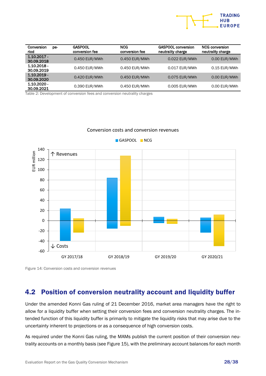

| Conversion<br>riod          | pe- | <b>GASPOOL</b><br>conversion fee | <b>NCG</b><br>conversion fee | <b>GASPOOL conversion</b><br>neutrality charge | <b>NCG conversion</b><br>neutrality charge |
|-----------------------------|-----|----------------------------------|------------------------------|------------------------------------------------|--------------------------------------------|
| $1.10.2017 -$<br>30.09.2018 |     | 0.450 EUR/MWh                    | 0.450 EUR/MWh                | 0.022 EUR/MWh                                  | 0.00 EUR/MWh                               |
| $1.10.2018 -$<br>30.09.2019 |     | 0.450 EUR/MWh                    | 0.450 EUR/MWh                | 0.017 EUR/MWh                                  | 0.15 EUR/MWh                               |
| $1.10.2019 -$<br>30.09.2020 |     | 0.420 EUR/MWh                    | 0.450 EUR/MWh                | 0.075 EUR/MWh                                  | 0.00 EUR/MWh                               |
| $1.10.2020 -$<br>30.09.2021 |     | 0.390 EUR/MWh                    | 0.450 EUR/MWh                | 0.005 EUR/MWh                                  | 0.00 EUR/MWh                               |

<span id="page-27-2"></span>Table 2: Development of conversion fees and conversion neutrality charges



#### Conversion costs and conversion revenues

<span id="page-27-1"></span>Figure 14: Conversion costs and conversion revenues

## <span id="page-27-0"></span>4.2 Position of conversion neutrality account and liquidity buffer

Under the amended Konni Gas ruling of 21 December 2016, market area managers have the right to allow for a liquidity buffer when setting their conversion fees and conversion neutrality charges. The intended function of this liquidity buffer is primarily to mitigate the liquidity risks that may arise due to the uncertainty inherent to projections or as a consequence of high conversion costs.

As required under the Konni Gas ruling, the MAMs publish the current position of their conversion neutrality accounts on a monthly basis (see [Figure](#page-28-0) 15), with the preliminary account balances for each month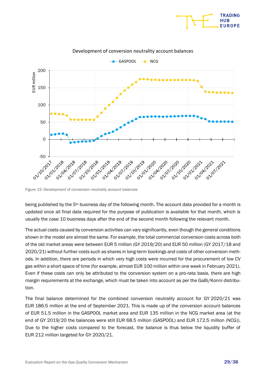



Development of conversion neutrality account balances

being published by the 5th business day of the following month. The account data provided for a month is updated once all final data required for the purpose of publication is available for that month, which is usually the case 10 business days after the end of the second month following the relevant month.

The actual costs caused by conversion activities can vary significantly, even though the general conditions shown in the model are almost the same. For example, the total commercial conversion costs across both of the old market areas were between EUR 5 million (GY 2019/20) and EUR 50 million (GY 2017/18 and 2020/21) without further costs such as shares in long-term bookings and costs of other conversion methods. In addition, there are periods in which very high costs were incurred for the procurement of low CV gas within a short space of time (for example, almost EUR 100 million within one week in February 2021). Even if these costs can only be attributed to the conversion system on a pro-rata basis, there are high margin requirements at the exchange, which must be taken into account as per the GaBi/Konni distribution.

The final balance determined for the combined conversion neutrality account for GY 2020/21 was EUR 186.5 million at the end of September 2021. This is made up of the conversion account balances of EUR 51.5 million in the GASPOOL market area and EUR 135 million in the NCG market area (at the end of GY 2019/20 the balances were still EUR 68.5 million (GASPOOL) and EUR 172.5 million (NCG)). Due to the higher costs compared to the forecast, the balance is thus below the liquidity buffer of EUR 212 million targeted for GY 2020/21.

<span id="page-28-0"></span>Figure 15: Development of conversion neutrality account balances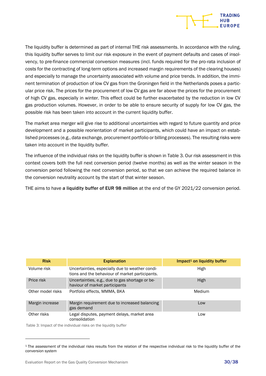

The liquidity buffer is determined as part of internal THE risk assessments. In accordance with the ruling, this liquidity buffer serves to limit our risk exposure in the event of payment defaults and cases of insolvency, to pre-finance commercial conversion measures (incl. funds required for the pro-rata inclusion of costs for the contracting of long-term options and increased margin requirements of the clearing houses) and especially to manage the uncertainty associated with volume and price trends. In addition, the imminent termination of production of low CV gas from the Groningen field in the Netherlands poses a particular price risk. The prices for the procurement of low CV gas are far above the prices for the procurement of high CV gas, especially in winter. This effect could be further exacerbated by the reduction in low CV gas production volumes. However, in order to be able to ensure security of supply for low CV gas, the possible risk has been taken into account in the current liquidity buffer.

The market area merger will give rise to additional uncertainties with regard to future quantity and price development and a possible reorientation of market participants, which could have an impact on established processes (e.g., data exchange, procurement portfolio or billing processes). The resulting risks were taken into account in the liquidity buffer.

The influence of the individual risks on the liquidity buffer is shown in [Table 3.](#page-29-0) Our risk assessment in this context covers both the full next conversion period (twelve months) as well as the winter season in the conversion period following the next conversion period, so that we can achieve the required balance in the conversion neutrality account by the start of that winter season.

THE aims to have a liquidity buffer of EUR 98 million at the end of the GY 2021/22 conversion period.

| <b>Risk</b>       | <b>Explanation</b>                                                                                 | Impact <sup>1</sup> on liquidity buffer |
|-------------------|----------------------------------------------------------------------------------------------------|-----------------------------------------|
| Volume risk       | Uncertainties, especially due to weather condi-<br>tions and the behaviour of market participants. | High                                    |
| Price risk        | Uncertainties, e.g., due to gas shortage or be-<br>haviour of market participants                  | High                                    |
| Other model risks | Portfolio effects, MMMA, BKA                                                                       | Medium                                  |
| Margin increase   | Margin requirement due to increased balancing<br>gas demand                                        | Low                                     |
| Other risks       | Legal disputes, payment delays, market area<br>consolidation                                       | Low                                     |

<span id="page-29-0"></span>Table 3: Impact of the individual risks on the liquidity buffer

<sup>&</sup>lt;sup>1</sup> The assessment of the individual risks results from the relation of the respective individual risk to the liquidity buffer of the conversion system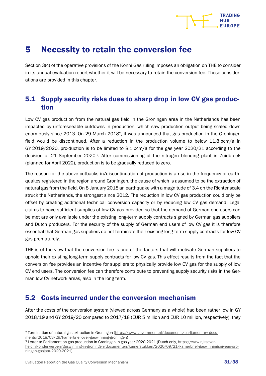## **TRADING HUB**

# <span id="page-30-0"></span>5 Necessity to retain the conversion fee

Section 3(c) of the operative provisions of the Konni Gas ruling imposes an obligation on THE to consider in its annual evaluation report whether it will be necessary to retain the conversion fee. These considerations are provided in this chapter.

## <span id="page-30-1"></span>5.1 Supply security risks dues to sharp drop in low CV gas production

Low CV gas production from the natural gas field in the Groningen area in the Netherlands has been impacted by unforeseeable cutdowns in production, which saw production output being scaled down enormously since 2013. On 29 March 20182, it was announced that gas production in the Groningen field would be discontinued. After a reduction in the production volume to below 11.8 bcm/a in GY 2019/2020, pro-duction is to be limited to 8.1 bcm/a for the gas year 2020/21 according to the decision of 21 September 20203. After commissioning of the nitrogen blending plant in Zuidbroek (planned for April 2022), production is to be gradually reduced to zero.

The reason for the above cutbacks in/discontinuation of production is a rise in the frequency of earthquakes registered in the region around Groningen, the cause of which is assumed to be the extraction of natural gas from the field. On 8 January 2018 an earthquake with a magnitude of 3.4 on the Richter scale struck the Netherlands, the strongest since 2012. The reduction in low CV gas production could only be offset by creating additional technical conversion capacity or by reducing low CV gas demand. Legal claims to have sufficient supplies of low CV gas provided so that the demand of German end users can be met are only available under the existing long-term supply contracts signed by German gas suppliers and Dutch producers. For the security of the supply of German end users of low CV gas it is therefore essential that German gas suppliers do not terminate their existing long-term supply contracts for low CV gas prematurely.

THE is of the view that the conversion fee is one of the factors that will motivate German suppliers to uphold their existing long-term supply contracts for low CV gas. This effect results from the fact that the conversion fee provides an incentive for suppliers to physically provide low CV gas for the supply of low CV end users. The conversion fee can therefore contribute to preventing supply security risks in the German low CV network areas, also in the long term.

## <span id="page-30-2"></span>5.2 Costs incurred under the conversion mechanism

After the costs of the conversion system (viewed across Germany as a whole) had been rather low in GY 2018/19 and GY 2019/20 compared to 2017/18 (EUR 5 million and EUR 10 million, respectively), they

<sup>&</sup>lt;sup>2</sup> Termination of natural gas extraction in Groningen [\(https://www.government.nl/documents/parliamentary-docu](https://www.government.nl/documents/parliamentary-documents/2018/03/29/kamerbrief-over-gaswinning-groningen)[ments/2018/03/29/kamerbrief-over-gaswinning-groningen\)](https://www.government.nl/documents/parliamentary-documents/2018/03/29/kamerbrief-over-gaswinning-groningen)

<sup>3</sup> Letter to Parliament on gas production in Groningen in gas year 2020-2021 (Dutch only[, https://www.rijksover](https://www.rijksoverheid.nl/onderwerpen/gaswinning-in-groningen/documenten/kamerstukken/2020/09/21/kamerbrief-gaswinningsniveau-groningen-gasjaar-2020-2021)[heid.nl/onderwerpen/gaswinning-in-groningen/documenten/kamerstukken/2020/09/21/kamerbrief-gaswinningsniveau-gro](https://www.rijksoverheid.nl/onderwerpen/gaswinning-in-groningen/documenten/kamerstukken/2020/09/21/kamerbrief-gaswinningsniveau-groningen-gasjaar-2020-2021)[ningen-gasjaar-2020-2021\)](https://www.rijksoverheid.nl/onderwerpen/gaswinning-in-groningen/documenten/kamerstukken/2020/09/21/kamerbrief-gaswinningsniveau-groningen-gasjaar-2020-2021)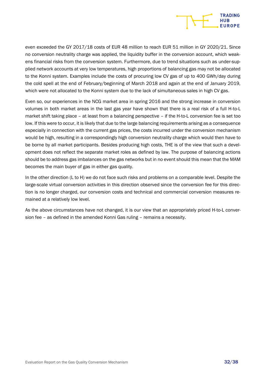

even exceeded the GY 2017/18 costs of EUR 48 million to reach EUR 51 million in GY 2020/21. Since no conversion neutrality charge was applied, the liquidity buffer in the conversion account, which weakens financial risks from the conversion system. Furthermore, due to trend situations such as under-supplied network accounts at very low temperatures, high proportions of balancing gas may not be allocated to the Konni system. Examples include the costs of procuring low CV gas of up to 400 GWh/day during the cold spell at the end of February/beginning of March 2018 and again at the end of January 2019, which were not allocated to the Konni system due to the lack of simultaneous sales in high CV gas.

Even so, our experiences in the NCG market area in spring 2016 and the strong increase in conversion volumes in both market areas in the last gas year have shown that there is a real risk of a full H-to-L market shift taking place – at least from a balancing perspective – if the H-to-L conversion fee is set too low. If this were to occur, it is likely that due to the large balancing requirements arising as a consequence especially in connection with the current gas prices, the costs incurred under the conversion mechanism would be high, resulting in a correspondingly high conversion neutrality charge which would then have to be borne by all market participants. Besides producing high costs, THE is of the view that such a development does not reflect the separate market roles as defined by law. The purpose of balancing actions should be to address gas imbalances on the gas networks but in no event should this mean that the MAM becomes the main buyer of gas in either gas quality.

In the other direction (L to H) we do not face such risks and problems on a comparable level. Despite the large-scale virtual conversion activities in this direction observed since the conversion fee for this direction is no longer charged, our conversion costs and technical and commercial conversion measures remained at a relatively low level.

As the above circumstances have not changed, it is our view that an appropriately priced H-to-L conversion fee – as defined in the amended Konni Gas ruling – remains a necessity.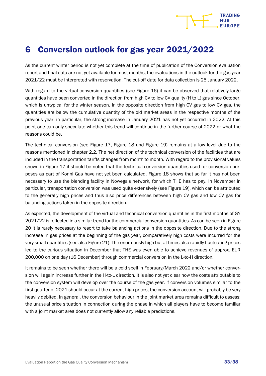## **TRADING HUB**

# <span id="page-32-0"></span>6 Conversion outlook for gas year 2021/2022

As the current winter period is not yet complete at the time of publication of the Conversion evaluation report and final data are not yet available for most months, the evaluations in the outlook for the gas year 2021/22 must be interpreted with reservation. The cut-off date for data collection is 25 January 2022.

With regard to the virtual conversion quantities (see [Figure](#page-33-0) 16) it can be observed that relatively large quantities have been converted in the direction from high CV to low CV quality (H to L) gas since October, which is untypical for the winter season. In the opposite direction from high CV gas to low CV gas, the quantities are below the cumulative quantity of the old market areas in the respective months of the previous year; in particular, the strong increase in January 2021 has not yet occurred in 2022. At this point one can only speculate whether this trend will continue in the further course of 2022 or what the reasons could be.

The technical conversion (see [Figure](#page-33-1) 17, [Figure](#page-34-0) 18 und [Figure](#page-34-1) 19) remains at a low level due to the reasons mentioned in chapter [2.2.](#page-12-0) The net direction of the technical conversion of the facilities that are included in the transportation tariffs changes from month to month. With regard to the provisional values shown in [Figure](#page-33-1) 17 it should be noted that the technical conversion quantities used for conversion purposes as part of Konni Gas have not yet been calculated. [Figure](#page-34-0) 18 shows that so far it has not been necessary to use the blending facility in Nowega's network, for which THE has to pay. In November in particular, transportation conversion was used quite extensively (see [Figure](#page-34-1) 19), which can be attributed to the generally high prices and thus also price differences between high CV gas and low CV gas for balancing actions taken in the opposite direction.

As expected, the development of the virtual and technical conversion quantities in the first months of GY 2021/22 is reflected in a similar trend for the commercial conversion quantities. As can be seen in [Figure](#page-35-0)  [20](#page-35-0) it is rarely necessary to resort to take balancing actions in the opposite direction. Due to the strong increase in gas prices at the beginning of the gas year, comparatively high costs were incurred for the very small quantities (see als[o Figure](#page-35-1) 21). The enormously high but at times also rapidly fluctuating prices led to the curious situation in December that THE was even able to achieve revenues of approx. EUR 200,000 on one day (16 December) through commercial conversion in the L-to-H direction.

It remains to be seen whether there will be a cold spell in February/March 2022 and/or whether conversion will again increase further in the H-to-L direction. It is also not yet clear how the costs attributable to the conversion system will develop over the course of the gas year. If conversion volumes similar to the first quarter of 2021 should occur at the current high prices, the conversion account will probably be very heavily debited. In general, the conversion behaviour in the joint market area remains difficult to assess; the unusual price situation in connection during the phase in which all players have to become familiar with a joint market area does not currently allow any reliable predictions.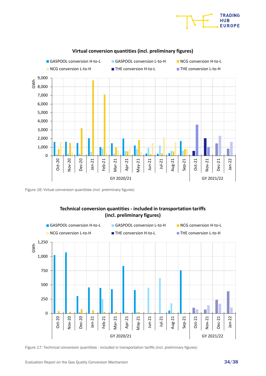



#### **Virtual conversion quantities (incl. preliminary figures)**

<span id="page-33-0"></span>Figure 16: Virtual conversion quantities (incl. preliminary figures)



**Technical conversion quantities - included in transportation tariffs (incl. preliminary figures)**

<span id="page-33-1"></span>Figure 17: Technical conversion quantities - included in transportation tariffs (incl. preliminary figures)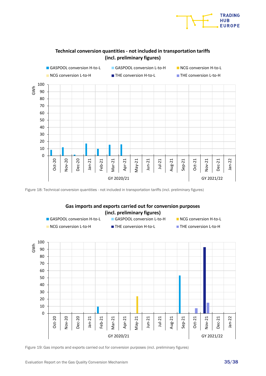

#### **Technical conversion quantities - not included in transportation tariffs (incl. preliminary figures)**



<span id="page-34-0"></span>Figure 18: Technical conversion quantities - not included in transportation tariffs (incl. preliminary figures)



<span id="page-34-1"></span>Figure 19: Gas imports and exports carried out for conversion purposes (incl. preliminary figures)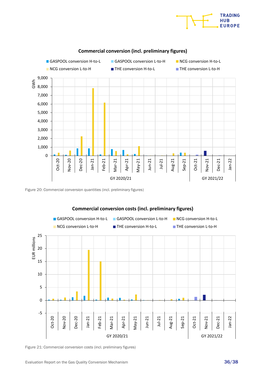



#### **Commercial conversion (incl. preliminary figures)**

<span id="page-35-0"></span>Figure 20: Commercial conversion quantities (incl. preliminary figures)



#### **Commercial conversion costs (incl. preliminary figures)**

<span id="page-35-1"></span>Figure 21: Commercial conversion costs (incl. preliminary figures)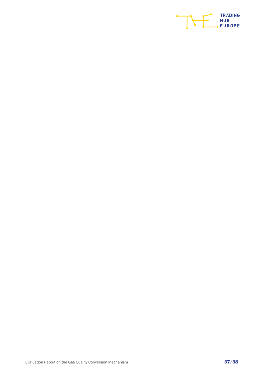